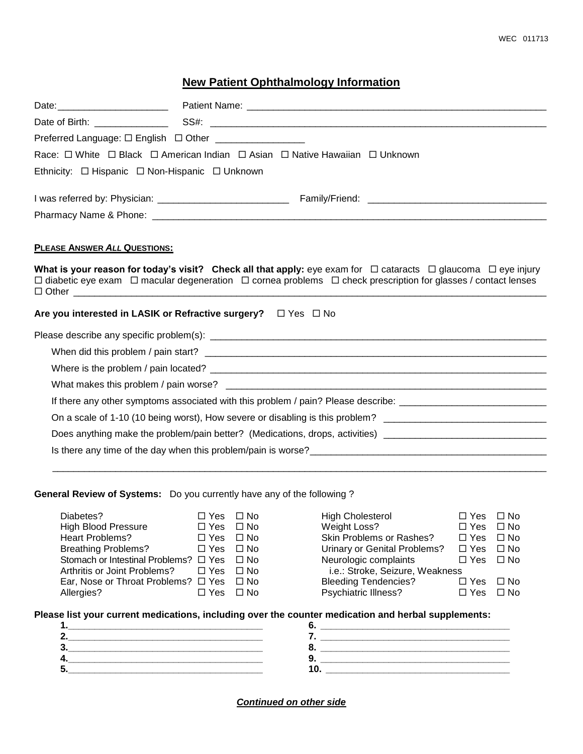## WEC 011713

## **New Patient Ophthalmology Information**

|                                                                             | Preferred Language: □ English □ Other __________________                                                                           |  |  |  |  |
|-----------------------------------------------------------------------------|------------------------------------------------------------------------------------------------------------------------------------|--|--|--|--|
| Race: □ White □ Black □ American Indian □ Asian □ Native Hawaiian □ Unknown |                                                                                                                                    |  |  |  |  |
| Ethnicity: $\Box$ Hispanic $\Box$ Non-Hispanic $\Box$ Unknown               |                                                                                                                                    |  |  |  |  |
|                                                                             |                                                                                                                                    |  |  |  |  |
|                                                                             |                                                                                                                                    |  |  |  |  |
|                                                                             |                                                                                                                                    |  |  |  |  |
| PLEASE ANSWER ALL QUESTIONS:                                                |                                                                                                                                    |  |  |  |  |
|                                                                             | What is your reason for today's visit? Check all that apply: eye exam for $\Box$ cataracts $\Box$ glaucoma $\Box$ eye injury       |  |  |  |  |
|                                                                             | $\Box$ diabetic eye exam $\Box$ macular degeneration $\Box$ cornea problems $\Box$ check prescription for glasses / contact lenses |  |  |  |  |
|                                                                             | Are you interested in LASIK or Refractive surgery? $\Box$ Yes $\Box$ No                                                            |  |  |  |  |
|                                                                             |                                                                                                                                    |  |  |  |  |
|                                                                             |                                                                                                                                    |  |  |  |  |
|                                                                             |                                                                                                                                    |  |  |  |  |
|                                                                             |                                                                                                                                    |  |  |  |  |
|                                                                             | If there any other symptoms associated with this problem / pain? Please describe: ____________________________                     |  |  |  |  |
|                                                                             | On a scale of 1-10 (10 being worst), How severe or disabling is this problem? ________________________________                     |  |  |  |  |
|                                                                             | Does anything make the problem/pain better? (Medications, drops, activities) _________________________________                     |  |  |  |  |

## **General Review of Systems:** Do you currently have any of the following ?

| Diabetes?                                          | $\Box$ Yes $\Box$ No | <b>High Cholesterol</b>         | $\Box$ Yes $\Box$ No |              |
|----------------------------------------------------|----------------------|---------------------------------|----------------------|--------------|
| <b>High Blood Pressure</b>                         | $\Box$ Yes $\Box$ No | Weight Loss?                    | $\Box$ Yes           | ⊟ No         |
| <b>Heart Problems?</b>                             | $\Box$ Yes $\Box$ No | Skin Problems or Rashes?        | $\Box$ Yes           | ⊟ No         |
| <b>Breathing Problems?</b>                         | $\Box$ Yes $\Box$ No | Urinary or Genital Problems?    | $\square$ Yes        | $\square$ No |
| Stomach or Intestinal Problems? □ Yes □ No         |                      | Neurologic complaints           | $\Box$ Yes $\Box$ No |              |
| Arthritis or Joint Problems?                       | $\Box$ Yes $\Box$ No | i.e.: Stroke, Seizure, Weakness |                      |              |
| Ear, Nose or Throat Problems? $\Box$ Yes $\Box$ No |                      | <b>Bleeding Tendencies?</b>     | $\Box$ Yes           | $\Box$ No    |
| Allergies?                                         | $\Box$ Yes $\Box$ No | Psychiatric Illness?            | $\square$ Yes        | $\square$ No |
|                                                    |                      |                                 |                      |              |

\_\_\_\_\_\_\_\_\_\_\_\_\_\_\_\_\_\_\_\_\_\_\_\_\_\_\_\_\_\_\_\_\_\_\_\_\_\_\_\_\_\_\_\_\_\_\_\_\_\_\_\_\_\_\_\_\_\_\_\_\_\_\_\_\_\_\_\_\_\_\_\_\_\_\_\_\_\_\_\_\_\_\_\_\_\_\_\_\_\_\_\_\_\_

## **Please list your current medications, including over the counter medication and herbal supplements:**

*Continued on other side*